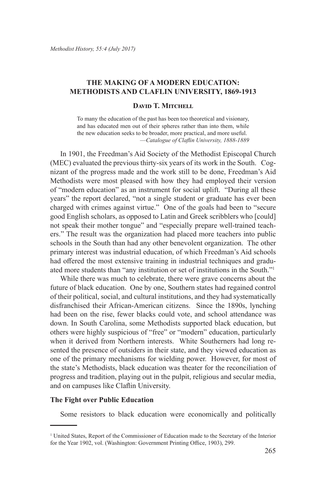# **THE MAKING OF A MODERN EDUCATION: METHODISTS AND CLAFLIN UNIVERSITY, 1869-1913**

#### **DAVID T. MITCHELL**

To many the education of the past has been too theoretical and visionary, and has educated men out of their spheres rather than into them, while the new education seeks to be broader, more practical, and more useful. —*Catalogue of Claflin University, 1888-1889*

In 1901, the Freedman's Aid Society of the Methodist Episcopal Church (MEC) evaluated the previous thirty-six years of its work in the South. Cognizant of the progress made and the work still to be done, Freedman's Aid Methodists were most pleased with how they had employed their version of "modern education" as an instrument for social uplift. "During all these years" the report declared, "not a single student or graduate has ever been charged with crimes against virtue." One of the goals had been to "secure good English scholars, as opposed to Latin and Greek scribblers who [could] not speak their mother tongue" and "especially prepare well-trained teachers." The result was the organization had placed more teachers into public schools in the South than had any other benevolent organization. The other primary interest was industrial education, of which Freedman's Aid schools had offered the most extensive training in industrial techniques and graduated more students than "any institution or set of institutions in the South."<sup>1</sup>

While there was much to celebrate, there were grave concerns about the future of black education. One by one, Southern states had regained control of their political, social, and cultural institutions, and they had systematically disfranchised their African-American citizens. Since the 1890s, lynching had been on the rise, fewer blacks could vote, and school attendance was down. In South Carolina, some Methodists supported black education, but others were highly suspicious of "free" or "modern" education, particularly when it derived from Northern interests. White Southerners had long resented the presence of outsiders in their state, and they viewed education as one of the primary mechanisms for wielding power. However, for most of the state's Methodists, black education was theater for the reconciliation of progress and tradition, playing out in the pulpit, religious and secular media, and on campuses like Claflin University.

#### **The Fight over Public Education**

Some resistors to black education were economically and politically

<sup>1</sup> United States, Report of the Commissioner of Education made to the Secretary of the Interior for the Year 1902, vol. (Washington: Government Printing Office, 1903), 299.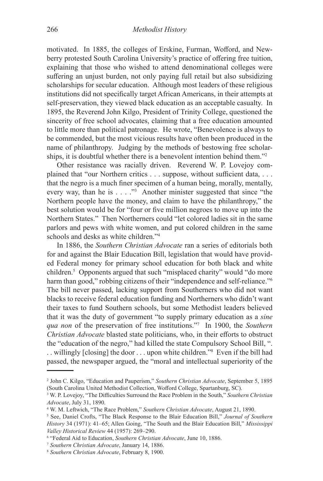motivated. In 1885, the colleges of Erskine, Furman, Wofford, and Newberry protested South Carolina University's practice of offering free tuition, explaining that those who wished to attend denominational colleges were suffering an unjust burden, not only paying full retail but also subsidizing scholarships for secular education. Although most leaders of these religious institutions did not specifically target African Americans, in their attempts at self-preservation, they viewed black education as an acceptable casualty. In 1895, the Reverend John Kilgo, President of Trinity College, questioned the sincerity of free school advocates, claiming that a free education amounted to little more than political patronage. He wrote, "Benevolence is always to be commended, but the most vicious results have often been produced in the name of philanthropy. Judging by the methods of bestowing free scholarships, it is doubtful whether there is a benevolent intention behind them."<sup>2</sup>

Other resistance was racially driven. Reverend W. P. Lovejoy complained that "our Northern critics . . . suppose, without sufficient data, . . . that the negro is a much finer specimen of a human being, morally, mentally, every way, than he is  $\dots$  ."<sup>3</sup> Another minister suggested that since "the Northern people have the money, and claim to have the philanthropy," the best solution would be for "four or five million negroes to move up into the Northern States." Then Northerners could "let colored ladies sit in the same parlors and pews with white women, and put colored children in the same schools and desks as white children."<sup>4</sup>

In 1886, the *Southern Christian Advocate* ran a series of editorials both for and against the Blair Education Bill, legislation that would have provided Federal money for primary school education for both black and white children.<sup>5</sup> Opponents argued that such "misplaced charity" would "do more harm than good," robbing citizens of their "independence and self-reliance."<sup>6</sup> The bill never passed, lacking support from Southerners who did not want blacks to receive federal education funding and Northerners who didn't want their taxes to fund Southern schools, but some Methodist leaders believed that it was the duty of government "to supply primary education as a *sine qua non* of the preservation of free institutions."<sup>7</sup> In 1900, the *Southern Christian Advocate* blasted state politicians, who, in their efforts to obstruct the "education of the negro," had killed the state Compulsory School Bill, ". . . willingly [closing] the door . . . upon white children."8 Even if the bill had passed, the newspaper argued, the "moral and intellectual superiority of the

<sup>2</sup> John C. Kilgo, "Education and Pauperism," *Southern Christian Advocate*, September 5, 1895 (South Carolina United Methodist Collection, Wofford College, Spartanburg, SC).

<sup>3</sup> W. P. Lovejoy, "The Difficulties Surround the Race Problem in the South," *Southern Christian Advocate*, July 31, 1890.

<sup>4</sup> W. M. Leftwich, "The Race Problem," *Southern Christian Advocate*, August 21, 1890.

<sup>5</sup> See, Daniel Crofts, "The Black Response to the Blair Education Bill," *Journal of Southern History* 34 (1971): 41–65; Allen Going, "The South and the Blair Education Bill," *Mississippi Valley Historical Review* 44 (1957): 269–290.

<sup>6</sup> "Federal Aid to Education, *Southern Christian Advocate*, June 10, 1886.

<sup>7</sup> *Southern Christian Advocate*, January 14, 1886.

<sup>8</sup> *Southern Christian Advocate*, February 8, 1900.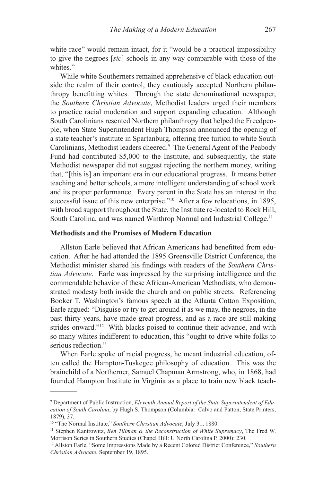white race" would remain intact, for it "would be a practical impossibility to give the negroes [*sic*] schools in any way comparable with those of the whites."

While white Southerners remained apprehensive of black education outside the realm of their control, they cautiously accepted Northern philanthropy benefitting whites. Through the state denominational newspaper, the *Southern Christian Advocate*, Methodist leaders urged their members to practice racial moderation and support expanding education. Although South Carolinians resented Northern philanthropy that helped the Freedpeople, when State Superintendent Hugh Thompson announced the opening of a state teacher's institute in Spartanburg, offering free tuition to white South Carolinians, Methodist leaders cheered.<sup>9</sup> The General Agent of the Peabody Fund had contributed \$5,000 to the Institute, and subsequently, the state Methodist newspaper did not suggest rejecting the northern money, writing that, "[this is] an important era in our educational progress. It means better teaching and better schools, a more intelligent understanding of school work and its proper performance. Every parent in the State has an interest in the successful issue of this new enterprise."<sup>10</sup> After a few relocations, in 1895, with broad support throughout the State, the Institute re-located to Rock Hill, South Carolina, and was named Winthrop Normal and Industrial College.<sup>11</sup>

### **Methodists and the Promises of Modern Education**

Allston Earle believed that African Americans had benefitted from education. After he had attended the 1895 Greensville District Conference, the Methodist minister shared his findings with readers of the *Southern Christian Advocate*. Earle was impressed by the surprising intelligence and the commendable behavior of these African-American Methodists, who demonstrated modesty both inside the church and on public streets. Referencing Booker T. Washington's famous speech at the Atlanta Cotton Exposition, Earle argued: "Disguise or try to get around it as we may, the negroes, in the past thirty years, have made great progress, and as a race are still making strides onward."<sup>12</sup> With blacks poised to continue their advance, and with so many whites indifferent to education, this "ought to drive white folks to serious reflection."

When Earle spoke of racial progress, he meant industrial education, often called the Hampton-Tuskegee philosophy of education. This was the brainchild of a Northerner, Samuel Chapman Armstrong, who, in 1868, had founded Hampton Institute in Virginia as a place to train new black teach-

<sup>9</sup> Department of Public Instruction, *Eleventh Annual Report of the State Superintendent of Education of South Carolina*, by Hugh S. Thompson (Columbia: Calvo and Patton, State Printers, 1879), 37.

<sup>10</sup> "The Normal Institute," *Southern Christian Advocate*, July 31, 1880.

<sup>11</sup> Stephen Kantrowitz, *Ben Tillman & the Reconstruction of White Supremacy*, The Fred W. Morrison Series in Southern Studies (Chapel Hill: U North Carolina P, 2000): 230.

<sup>12</sup> Allston Earle, "Some Impressions Made by a Recent Colored District Conference," *Southern Christian Advocate*, September 19, 1895.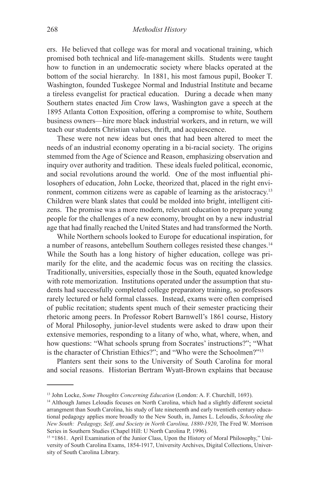ers. He believed that college was for moral and vocational training, which promised both technical and life-management skills. Students were taught how to function in an undemocratic society where blacks operated at the bottom of the social hierarchy. In 1881, his most famous pupil, Booker T. Washington, founded Tuskegee Normal and Industrial Institute and became a tireless evangelist for practical education. During a decade when many Southern states enacted Jim Crow laws, Washington gave a speech at the 1895 Atlanta Cotton Exposition, offering a compromise to white, Southern business owners—hire more black industrial workers, and in return, we will teach our students Christian values, thrift, and acquiescence.

These were not new ideas but ones that had been altered to meet the needs of an industrial economy operating in a bi-racial society. The origins stemmed from the Age of Science and Reason, emphasizing observation and inquiry over authority and tradition. These ideals fueled political, economic, and social revolutions around the world. One of the most influential philosophers of education, John Locke, theorized that, placed in the right environment, common citizens were as capable of learning as the aristocracy.<sup>13</sup> Children were blank slates that could be molded into bright, intelligent citizens. The promise was a more modern, relevant education to prepare young people for the challenges of a new economy, brought on by a new industrial age that had finally reached the United States and had transformed the North.

While Northern schools looked to Europe for educational inspiration, for a number of reasons, antebellum Southern colleges resisted these changes.14 While the South has a long history of higher education, college was primarily for the elite, and the academic focus was on reciting the classics. Traditionally, universities, especially those in the South, equated knowledge with rote memorization. Institutions operated under the assumption that students had successfully completed college preparatory training, so professors rarely lectured or held formal classes. Instead, exams were often comprised of public recitation; students spent much of their semester practicing their rhetoric among peers. In Professor Robert Barnwell's 1861 course, History of Moral Philosophy, junior-level students were asked to draw upon their extensive memories, responding to a litany of who, what, where, when, and how questions: "What schools sprung from Socrates' instructions?"; "What is the character of Christian Ethics?"; and "Who were the Schoolmen?"15

Planters sent their sons to the University of South Carolina for moral and social reasons. Historian Bertram Wyatt-Brown explains that because

<sup>13</sup> John Locke, *Some Thoughts Concerning Education* (London: A. F. Churchill, 1693).

<sup>&</sup>lt;sup>14</sup> Although James Leloudis focuses on North Carolina, which had a slightly different societal arrangment than South Carolina, his study of late nineteenth and early twentieth century educational pedagogy applies more broadly to the New South, in, James L. Leloudis, *Schooling the New South: Pedagogy, Self, and Society in North Carolina, 1880-1920*, The Fred W. Morrison Series in Southern Studies (Chapel Hill: U North Carolina P, 1996).

<sup>&</sup>lt;sup>15</sup> "1861. April Examination of the Junior Class, Upon the History of Moral Philosophy," University of South Carolina Exams, 1854-1917, University Archives, Digital Collections, University of South Carolina Library.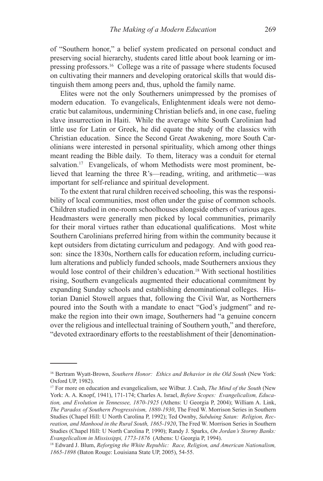of "Southern honor," a belief system predicated on personal conduct and preserving social hierarchy, students cared little about book learning or impressing professors.<sup>16</sup> College was a rite of passage where students focused on cultivating their manners and developing oratorical skills that would distinguish them among peers and, thus, uphold the family name.

Elites were not the only Southerners unimpressed by the promises of modern education. To evangelicals, Enlightenment ideals were not democratic but calamitous, undermining Christian beliefs and, in one case, fueling slave insurrection in Haiti. While the average white South Carolinian had little use for Latin or Greek, he did equate the study of the classics with Christian education. Since the Second Great Awakening, more South Carolinians were interested in personal spirituality, which among other things meant reading the Bible daily. To them, literacy was a conduit for eternal salvation.<sup>17</sup> Evangelicals, of whom Methodists were most prominent, believed that learning the three R's—reading, writing, and arithmetic—was important for self-reliance and spiritual development.

To the extent that rural children received schooling, this was the responsibility of local communities, most often under the guise of common schools. Children studied in one-room schoolhouses alongside others of various ages. Headmasters were generally men picked by local communities, primarily for their moral virtues rather than educational qualifications. Most white Southern Carolinians preferred hiring from within the community because it kept outsiders from dictating curriculum and pedagogy. And with good reason: since the 1830s, Northern calls for education reform, including curriculum alterations and publicly funded schools, made Southerners anxious they would lose control of their children's education.<sup>18</sup> With sectional hostilities rising, Southern evangelicals augmented their educational commitment by expanding Sunday schools and establishing denominational colleges. Historian Daniel Stowell argues that, following the Civil War, as Northerners poured into the South with a mandate to enact "God's judgment" and remake the region into their own image, Southerners had "a genuine concern over the religious and intellectual training of Southern youth," and therefore, "devoted extraordinary efforts to the reestablishment of their [denomination-

<sup>16</sup> Bertram Wyatt-Brown, *Southern Honor: Ethics and Behavior in the Old South* (New York: Oxford UP, 1982).

<sup>17</sup> For more on education and evangelicalism, see Wilbur. J. Cash, *The Mind of the South* (New York: A. A. Knopf, 1941), 171-174; Charles A. Israel, *Before Scopes: Evangelicalism, Education, and Evolution in Tennessee, 1870-1925* (Athens: U Georgia P, 2004); William A. Link, *The Paradox of Southern Progressivism, 1880-1930*, The Fred W. Morrison Series in Southern Studies (Chapel Hill: U North Carolina P, 1992); Ted Ownby, *Subduing Satan: Religion, Recreation, and Manhood in the Rural South, 1865-1920*, The Fred W. Morrison Series in Southern Studies (Chapel Hill: U North Carolina P, 1990); Randy J. Sparks, *On Jordan's Stormy Banks: Evangelicalism in Mississippi, 1773-1876* (Athens: U Georgia P, 1994).

<sup>18</sup> Edward J. Blum, *Reforging the White Republic: Race, Religion, and American Nationalism, 1865-1898* (Baton Rouge: Louisiana State UP, 2005), 54-55.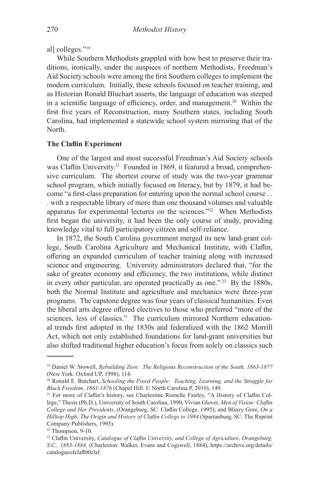al] colleges."19

While Southern Methodists grappled with how best to preserve their traditions, ironically, under the auspices of northern Methodists, Freedman's Aid Society schools were among the first Southern colleges to implement the modern curriculum. Initially, these schools focused on teacher training, and as Historian Ronald Bluchart asserts, the language of education was steeped in a scientific language of efficiency, order, and management.20 Within the first five years of Reconstruction, many Southern states, including South Carolina, had implemented a statewide school system mirroring that of the North.

#### **The Claflin Experiment**

One of the largest and most successful Freedman's Aid Society schools was Claflin University.<sup>21</sup> Founded in 1869, it featured a broad, comprehensive curriculum. The shortest course of study was the two-year grammar school program, which initially focused on literacy, but by 1879, it had become "a first-class preparation for entering upon the normal school course . . . with a respectable library of more than one thousand volumes and valuable apparatus for experimental lectures on the sciences."22 When Methodists first began the university, it had been the only course of study, providing knowledge vital to full participatory citizen and self-reliance.

In 1872, the South Carolina government merged its new land-grant college, South Carolina Agriculture and Mechanical Institute, with Claflin, offering an expanded curriculum of teacher training along with increased science and engineering. University administrators declared that, "for the sake of greater economy and efficiency, the two institutions, while distinct in every other particular, are operated practically as one." 23 By the 1880s, both the Normal Institute and agriculture and mechanics were three-year programs. The capstone degree was four years of classical humanities. Even the liberal arts degree offered electives to those who preferred "more of the sciences, less of classics." The curriculum mirrored Northern educational trends first adopted in the 1830s and federalized with the 1862 Morrill Act, which not only established foundations for land-grant universities but also shifted traditional higher education's focus from solely on classics such

<sup>19</sup> Daniel W. Stowell, *Rebuilding Zion: The Religious Reconstruction of the South, 1863-1877* (New York: Oxford UP, 1998), 114.

<sup>20</sup> Ronald E. Butchart, *Schooling the Freed People: Teaching, Learning, and the Struggle for Black Freedom, 1861-1876* (Chapel Hill: U North Carolina P, 2010), 149.

<sup>&</sup>lt;sup>21</sup> For more of Claflin's history, see Charlestine Romelle Fairley, "A History of Claflin College," Thesis (Ph.D.), University of South Carolina, 1990; Vivian Glover, *Men of Vision: Claflin College and Her Presidents*, (Orangeburg, SC: Claflin College, 1995); and Blinzy Gore, *On a Hilltop High: The Origin and History of Claflin College to 1984* (Spartanburg, SC: The Reprint Company Publishers, 1993).

 $22$  Thompson, 9-10.

<sup>23</sup> Claflin University, *Catalogue of Claflin University, and College of Agriculture, Orangeburg, S.C., 1883-1884,* (Charleston: Walker, Evans and Cogswell, 1884), https://archive.org/details/ catalogueofclafl00claf.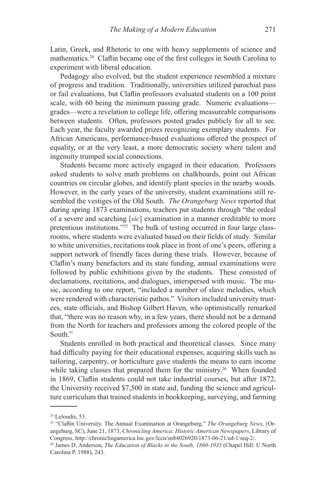Latin, Greek, and Rhetoric to one with heavy supplements of science and mathematics.24 Claflin became one of the first colleges in South Carolina to experiment with liberal education.

Pedagogy also evolved, but the student experience resembled a mixture of progress and tradition. Traditionally, universities utilized parochial pass or fail evaluations, but Claflin professors evaluated students on a 100 point scale, with 60 being the minimum passing grade. Numeric evaluations grades—were a revelation to college life, offering measureable comparisons between students. Often, professors posted grades publicly for all to see. Each year, the faculty awarded prizes recognizing exemplary students. For African Americans, performance-based evaluations offered the prospect of equality, or at the very least, a more democratic society where talent and ingenuity trumped social connections.

Students became more actively engaged in their education. Professors asked students to solve math problems on chalkboards, point out African countries on circular globes, and identify plant species in the nearby woods. However, in the early years of the university, student examinations still resembled the vestiges of the Old South. *The Orangeburg News* reported that during spring 1873 examinations, teachers put students through "the ordeal of a severe and scarching [*sic*] examination in a manner creditable to more pretentious institutions."25 The bulk of testing occurred in four large classrooms, where students were evaluated based on their fields of study. Similar to white universities, recitations took place in front of one's peers, offering a support network of friendly faces during these trials. However, because of Claflin's many benefactors and its state funding, annual examinations were followed by public exhibitions given by the students. These consisted of declamations, recitations, and dialogues, interspersed with music. The music, according to one report, "included a number of slave melodies, which were rendered with characteristic pathos." Visitors included university trustees, state officials, and Bishop Gilbert Haven, who optimistically remarked that, "there was no reason why, in a few years, there should not be a demand from the North for teachers and professors among the colored people of the South."

Students enrolled in both practical and theoretical classes. Since many had difficulty paying for their educational expenses, acquiring skills such as tailoring, carpentry, or horticulture gave students the means to earn income while taking classes that prepared them for the ministry.<sup>26</sup> When founded in 1869, Claflin students could not take industrial courses, but after 1872, the University received \$7,500 in state aid, funding the science and agriculture curriculum that trained students in bookkeeping, surveying, and farming

 $24$  Leloudis, 53.

<sup>25 &</sup>quot;Claflin University. The Annual Examination at Orangeburg," *The Orangeburg News*, (Orangeburg, SC), June 21, 1873, *Chronicling America: Historic American Newspapers*, Library of Congress, http://chroniclingamerica.loc.gov/lccn/sn84026920/1873-06-21/ed-1/seq-2/.

<sup>26</sup> James D. Anderson, *The Education of Blacks in the South, 1860-1935* (Chapel Hill: U North Carolina P, 1988), 243.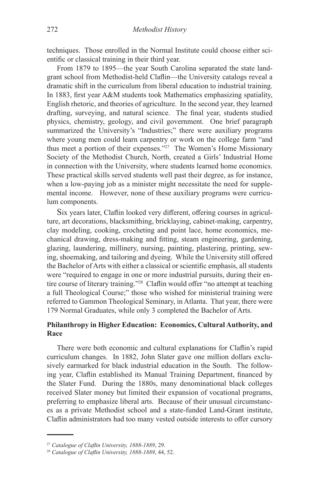techniques. Those enrolled in the Normal Institute could choose either scientific or classical training in their third year.

From 1879 to 1895—the year South Carolina separated the state landgrant school from Methodist-held Claflin—the University catalogs reveal a dramatic shift in the curriculum from liberal education to industrial training. In 1883, first year A&M students took Mathematics emphasizing spatiality, English rhetoric, and theories of agriculture. In the second year, they learned drafting, surveying, and natural science. The final year, students studied physics, chemistry, geology, and civil government. One brief paragraph summarized the University's "Industries;" there were auxiliary programs where young men could learn carpentry or work on the college farm "and thus meet a portion of their expenses."27 The Women's Home Missionary Society of the Methodist Church, North, created a Girls' Industrial Home in connection with the University, where students learned home economics. These practical skills served students well past their degree, as for instance, when a low-paying job as a minister might necessitate the need for supplemental income. However, none of these auxiliary programs were curriculum components.

Six years later, Claflin looked very different, offering courses in agriculture, art decorations, blacksmithing, bricklaying, cabinet-making, carpentry, clay modeling, cooking, crocheting and point lace, home economics, mechanical drawing, dress-making and fitting, steam engineering, gardening, glazing, laundering, millinery, nursing, painting, plastering, printing, sewing, shoemaking, and tailoring and dyeing. While the University still offered the Bachelor of Arts with either a classical or scientific emphasis, all students were "required to engage in one or more industrial pursuits, during their entire course of literary training."28 Claflin would offer "no attempt at teaching a full Theological Course;" those who wished for ministerial training were referred to Gammon Theological Seminary, in Atlanta. That year, there were 179 Normal Graduates, while only 3 completed the Bachelor of Arts.

# **Philanthropy in Higher Education: Economics, Cultural Authority, and Race**

There were both economic and cultural explanations for Claflin's rapid curriculum changes. In 1882, John Slater gave one million dollars exclusively earmarked for black industrial education in the South. The following year, Claflin established its Manual Training Department, financed by the Slater Fund. During the 1880s, many denominational black colleges received Slater money but limited their expansion of vocational programs, preferring to emphasize liberal arts. Because of their unusual circumstances as a private Methodist school and a state-funded Land-Grant institute, Claflin administrators had too many vested outside interests to offer cursory

<sup>27</sup> *Catalogue of Claflin University, 1888-1889*, 29.

<sup>28</sup> *Catalogue of Claflin University, 1888-1889*, 44, 52.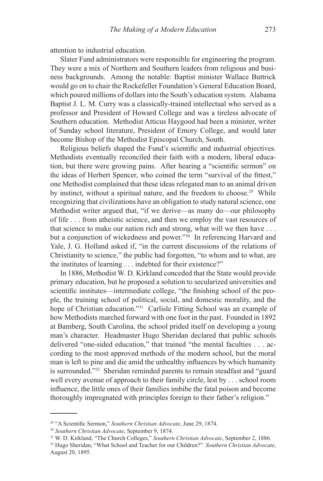attention to industrial education.

Slater Fund administrators were responsible for engineering the program. They were a mix of Northern and Southern leaders from religious and business backgrounds. Among the notable: Baptist minister Wallace Buttrick would go on to chair the Rockefeller Foundation's General Education Board, which poured millions of dollars into the South's education system. Alabama Baptist J. L. M. Curry was a classically-trained intellectual who served as a professor and President of Howard College and was a tireless advocate of Southern education. Methodist Atticus Haygood had been a minister, writer of Sunday school literature, President of Emory College, and would later become Bishop of the Methodist Episcopal Church, South.

Religious beliefs shaped the Fund's scientific and industrial objectives. Methodists eventually reconciled their faith with a modern, liberal education, but there were growing pains. After hearing a "scientific sermon" on the ideas of Herbert Spencer, who coined the term "survival of the fittest," one Methodist complained that these ideas relegated man to an animal driven by instinct, without a spiritual nature, and the freedom to choose.<sup>29</sup> While recognizing that civilizations have an obligation to study natural science, one Methodist writer argued that, "if we derive—as many do—our philosophy of life . . . from atheistic science, and then we employ the vast resources of that science to make our nation rich and strong, what will we then have . . . but a conjunction of wickedness and power."30 In referencing Harvard and Yale, J. G. Holland asked if, "in the current discussions of the relations of Christianity to science," the public had forgotten, "to whom and to what, are the institutes of learning . . . indebted for their existence?"

In 1886, Methodist W. D. Kirkland conceded that the State would provide primary education, but he proposed a solution to secularized universities and scientific institutes—intermediate college, "the finishing school of the people, the training school of political, social, and domestic morality, and the hope of Christian education."<sup>31</sup> Carlisle Fitting School was an example of how Methodists marched forward with one foot in the past. Founded in 1892 at Bamberg, South Carolina, the school prided itself on developing a young man's character. Headmaster Hugo Sheridan declared that public schools delivered "one-sided education," that trained "the mental faculties . . . according to the most approved methods of the modern school, but the moral man is left to pine and die amid the unhealthy influences by which humanity is surrounded."32 Sheridan reminded parents to remain steadfast and "guard well every avenue of approach to their family circle, lest by . . . school room influence, the little ones of their families imbibe the fatal poison and become thoroughly impregnated with principles foreign to their father's religion."

<sup>29 &</sup>quot;A Scientific Sermon," *Southern Christian Advocate*, June 29, 1874.

<sup>30</sup> *Southern Christian Advocate*, September 9, 1874.

<sup>31</sup> W. D. Kirkland, "The Church Colleges," *Southern Christian Advocate*, September 2, 1886.

<sup>32</sup> Hugo Sheridan, "What School and Teacher for our Children?" *Southern Christian Advocate*, August 20, 1895.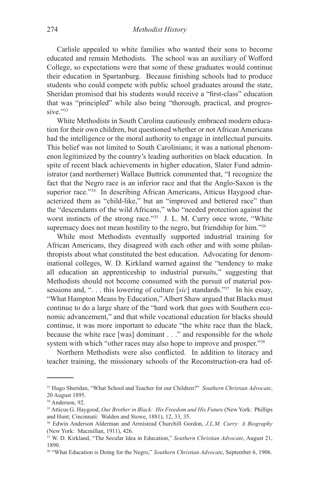Carlisle appealed to white families who wanted their sons to become educated and remain Methodists. The school was an auxiliary of Wofford College, so expectations were that some of these graduates would continue their education in Spartanburg. Because finishing schools had to produce students who could compete with public school graduates around the state, Sheridan promised that his students would receive a "first-class" education that was "principled" while also being "thorough, practical, and progressive."33

White Methodists in South Carolina cautiously embraced modern education for their own children, but questioned whether or not African Americans had the intelligence or the moral authority to engage in intellectual pursuits. This belief was not limited to South Carolinians; it was a national phenomenon legitimized by the country's leading authorities on black education. In spite of recent black achievements in higher education, Slater Fund administrator (and northerner) Wallace Buttrick commented that, "I recognize the fact that the Negro race is an inferior race and that the Anglo-Saxon is the superior race."<sup>34</sup> In describing African Americans, Atticus Haygood characterized them as "child-like," but an "improved and bettered race" than the "descendants of the wild Africans," who "needed protection against the worst instincts of the strong race."<sup>35</sup> J. L. M. Curry once wrote, "White supremacy does not mean hostility to the negro, but friendship for him."<sup>36</sup>

While most Methodists eventually supported industrial training for African Americans, they disagreed with each other and with some philanthropists about what constituted the best education. Advocating for denominational colleges, W. D. Kirkland warned against the "tendency to make all education an apprenticeship to industrial pursuits," suggesting that Methodists should not become consumed with the pursuit of material possessions and, ". . . this lowering of culture [*sic*] standards."37 In his essay, "What Hampton Means by Education," Albert Shaw argued that Blacks must continue to do a large share of the "hard work that goes with Southern economic advancement," and that while vocational education for blacks should continue, it was more important to educate "the white race than the black, because the white race [was] dominant . . ." and responsible for the whole system with which "other races may also hope to improve and prosper."38

Northern Methodists were also conflicted. In addition to literacy and teacher training, the missionary schools of the Reconstruction-era had of-

<sup>33</sup> Hugo Sheridan, "What School and Teacher for our Children?" *Southern Christian Advocate*, 20 August 1895.

<sup>&</sup>lt;sup>34</sup> Anderson, 92.

<sup>35</sup> Atticus G. Haygood, *Our Brother in Black: His Freedom and His Future* (New York: Phillips and Hunt; Cincinnati: Walden and Stowe, 1881), 12, 33, 35.

<sup>36</sup> Edwin Anderson Alderman and Armistead Churchill Gordon, *J.L.M. Curry: A Biography* (New York: Macmillan, 1911), 426.

<sup>37</sup> W. D. Kirkland, "The Secular Idea in Education," *Southern Christian Advocate*, August 21, 1890.

<sup>38 &</sup>quot;What Education is Doing for the Negro," *Southern Christian Advocate*, September 6, 1906.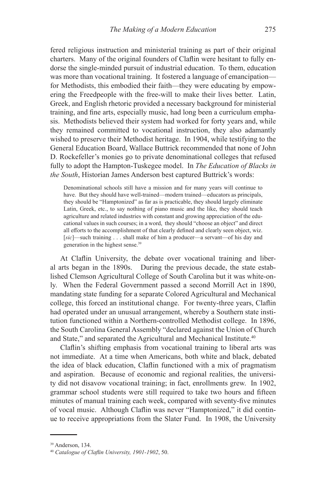fered religious instruction and ministerial training as part of their original charters. Many of the original founders of Claflin were hesitant to fully endorse the single-minded pursuit of industrial education. To them, education was more than vocational training. It fostered a language of emancipation for Methodists, this embodied their faith—they were educating by empowering the Freedpeople with the free-will to make their lives better. Latin, Greek, and English rhetoric provided a necessary background for ministerial training, and fine arts, especially music, had long been a curriculum emphasis. Methodists believed their system had worked for forty years and, while they remained committed to vocational instruction, they also adamantly wished to preserve their Methodist heritage. In 1904, while testifying to the General Education Board, Wallace Buttrick recommended that none of John D. Rockefeller's monies go to private denominational colleges that refused fully to adopt the Hampton-Tuskegee model. In *The Education of Blacks in the South*, Historian James Anderson best captured Buttrick's words:

Denominational schools still have a mission and for many years will continue to have. But they should have well-trained—modern trained—educators as principals, they should be "Hamptonized" as far as is practicable, they should largely eliminate Latin, Greek, etc., to say nothing of piano music and the like, they should teach agriculture and related industries with constant and growing appreciation of the educational values in such courses; in a word, they should "choose an object" and direct all efforts to the accomplishment of that clearly defined and clearly seen object, wiz. [*sic*]—such training . . . shall make of him a producer—a servant—of his day and generation in the highest sense.<sup>39</sup>

At Claflin University, the debate over vocational training and liberal arts began in the 1890s. During the previous decade, the state established Clemson Agricultural College of South Carolina but it was white-only. When the Federal Government passed a second Morrill Act in 1890, mandating state funding for a separate Colored Agricultural and Mechanical college, this forced an institutional change. For twenty-three years, Claflin had operated under an unusual arrangement, whereby a Southern state institution functioned within a Northern-controlled Methodist college. In 1896, the South Carolina General Assembly "declared against the Union of Church and State," and separated the Agricultural and Mechanical Institute.<sup>40</sup>

Claflin's shifting emphasis from vocational training to liberal arts was not immediate. At a time when Americans, both white and black, debated the idea of black education, Claflin functioned with a mix of pragmatism and aspiration. Because of economic and regional realities, the university did not disavow vocational training; in fact, enrollments grew. In 1902, grammar school students were still required to take two hours and fifteen minutes of manual training each week, compared with seventy-five minutes of vocal music. Although Claflin was never "Hamptonized," it did continue to receive appropriations from the Slater Fund. In 1908, the University

<sup>39</sup> Anderson, 134.

<sup>40</sup> *Catalogue of Claflin University, 1901-1902*, 50.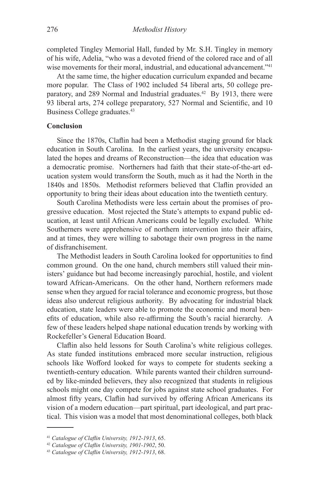completed Tingley Memorial Hall, funded by Mr. S.H. Tingley in memory of his wife, Adelia, "who was a devoted friend of the colored race and of all wise movements for their moral, industrial, and educational advancement."<sup>41</sup>

At the same time, the higher education curriculum expanded and became more popular. The Class of 1902 included 54 liberal arts, 50 college preparatory, and 289 Normal and Industrial graduates.<sup>42</sup> By 1913, there were 93 liberal arts, 274 college preparatory, 527 Normal and Scientific, and 10 Business College graduates.<sup>43</sup>

## **Conclusion**

Since the 1870s, Claflin had been a Methodist staging ground for black education in South Carolina. In the earliest years, the university encapsulated the hopes and dreams of Reconstruction—the idea that education was a democratic promise. Northerners had faith that their state-of-the-art education system would transform the South, much as it had the North in the 1840s and 1850s. Methodist reformers believed that Claflin provided an opportunity to bring their ideas about education into the twentieth century.

South Carolina Methodists were less certain about the promises of progressive education. Most rejected the State's attempts to expand public education, at least until African Americans could be legally excluded. White Southerners were apprehensive of northern intervention into their affairs, and at times, they were willing to sabotage their own progress in the name of disfranchisement.

The Methodist leaders in South Carolina looked for opportunities to find common ground. On the one hand, church members still valued their ministers' guidance but had become increasingly parochial, hostile, and violent toward African-Americans. On the other hand, Northern reformers made sense when they argued for racial tolerance and economic progress, but those ideas also undercut religious authority. By advocating for industrial black education, state leaders were able to promote the economic and moral benefits of education, while also re-affirming the South's racial hierarchy. A few of these leaders helped shape national education trends by working with Rockefeller's General Education Board.

Claflin also held lessons for South Carolina's white religious colleges. As state funded institutions embraced more secular instruction, religious schools like Wofford looked for ways to compete for students seeking a twentieth-century education. While parents wanted their children surrounded by like-minded believers, they also recognized that students in religious schools might one day compete for jobs against state school graduates. For almost fifty years, Claflin had survived by offering African Americans its vision of a modern education—part spiritual, part ideological, and part practical. This vision was a model that most denominational colleges, both black

<sup>41</sup> *Catalogue of Claflin University, 1912-1913*, 65.

<sup>42</sup> *Catalogue of Claflin University, 1901-1902*, 50. 43 *Catalogue of Claflin University, 1912-1913*, 68.